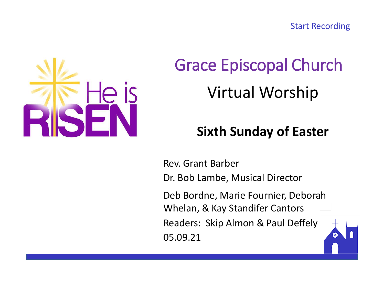Start Recording



# Grace Episcopal Church Virtual Worship

# **Sixth Sunday of Easter**

Rev. Grant Barber Dr. Bob Lambe, Musical Director Deb Bordne, Marie Fournier, Deborah Whelan, & Kay Standifer Cantors Readers: Skip Almon & Paul Deffely 05.09.21

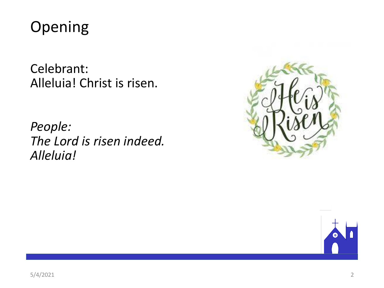

Celebrant: Alleluia! Christ is risen.

*People: The Lord is risen indeed. Alleluia!*



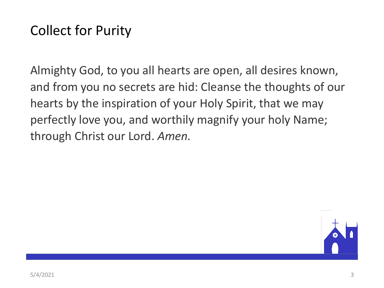# Collect for Purity

Almighty God, to you all hearts are open, all desires known, and from you no secrets are hid: Cleanse the thoughts of our hearts by the inspiration of your Holy Spirit, that we may perfectly love you, and worthily magnify your holy Name; through Christ our Lord. *Amen.*

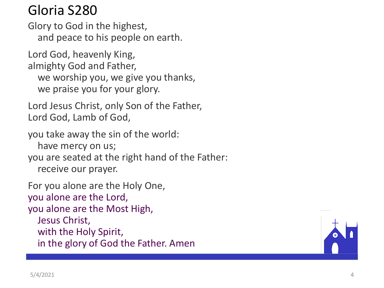## Gloria S280

Glory to God in the highest, and peace to his people on earth.

Lord God, heavenly King, almighty God and Father, we worship you, we give you thanks, we praise you for your glory.

Lord Jesus Christ, only Son of the Father, Lord God, Lamb of God,

you take away the sin of the world: have mercy on us; you are seated at the right hand of the Father: receive our prayer.

For you alone are the Holy One, you alone are the Lord, you alone are the Most High, Jesus Christ, with the Holy Spirit, in the glory of God the Father. Amen

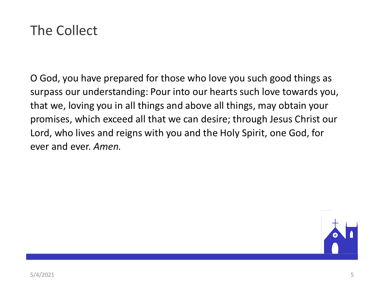## The Collect

O God, you have prepared for those who love you such good things as surpass our understanding: Pour into our hearts such love towards you, that we, loving you in all things and above all things, may obtain your promises, which exceed all that we can desire; through Jesus Christ our Lord, who lives and reigns with you and the Holy Spirit, one God, for ever and ever. *Amen.*

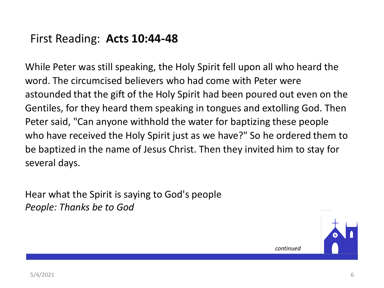### First Reading: **Acts 10:44-48**

While Peter was still speaking, the Holy Spirit fell upon all who heard the word. The circumcised believers who had come with Peter were astounded that the gift of the Holy Spirit had been poured out even on the Gentiles, for they heard them speaking in tongues and extolling God. Then Peter said, "Can anyone withhold the water for baptizing these people who have received the Holy Spirit just as we have?" So he ordered them to be baptized in the name of Jesus Christ. Then they invited him to stay for several days.

Hear what the Spirit is saying to God's people *People: Thanks be to God*



*continued*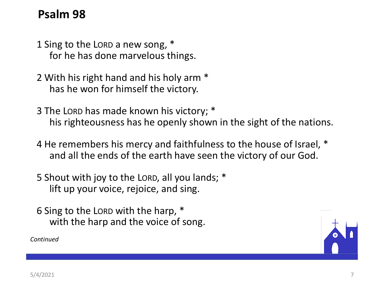### **Psalm 98**

- 1 Sing to the LORD a new song, \* for he has done marvelous things.
- 2 With his right hand and his holy arm \* has he won for himself the victory.
- 3 The LORD has made known his victory; \* his righteousness has he openly shown in the sight of the nations.
- 4 He remembers his mercy and faithfulness to the house of Israel, \* and all the ends of the earth have seen the victory of our God.
- 5 Shout with joy to the LORD, all you lands; \* lift up your voice, rejoice, and sing.
- 6 Sing to the LORD with the harp, \* with the harp and the voice of song.

*Continued*

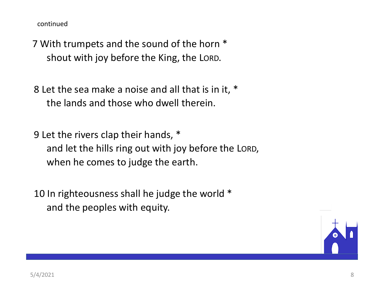continued

7 With trumpets and the sound of the horn \* shout with joy before the King, the LORD.

8 Let the sea make a noise and all that is in it, \* the lands and those who dwell therein.

9 Let the rivers clap their hands, \* and let the hills ring out with joy before the LORD, when he comes to judge the earth.

10 In righteousness shall he judge the world \* and the peoples with equity.

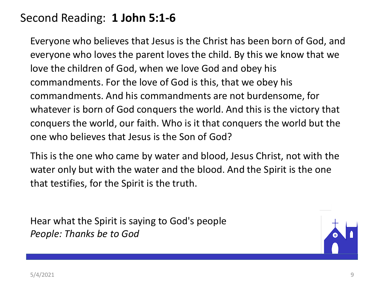### Second Reading: **1 John 5:1-6**

Everyone who believes that Jesus is the Christ has been born of God, and everyone who loves the parent loves the child. By this we know that we love the children of God, when we love God and obey his commandments. For the love of God is this, that we obey his commandments. And his commandments are not burdensome, for whatever is born of God conquers the world. And this is the victory that conquers the world, our faith. Who is it that conquers the world but the one who believes that Jesus is the Son of God?

This is the one who came by water and blood, Jesus Christ, not with the water only but with the water and the blood. And the Spirit is the one that testifies, for the Spirit is the truth.

Hear what the Spirit is saying to God's people *People: Thanks be to God*

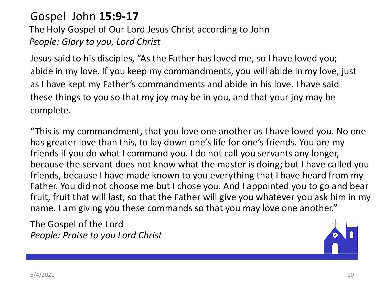### Gospel John **15:9-17**

The Holy Gospel of Our Lord Jesus Christ according to John *People: Glory to you, Lord Christ*

Jesus said to his disciples, "As the Father has loved me, so I have loved you; abide in my love. If you keep my commandments, you will abide in my love, just as I have kept my Father's commandments and abide in his love. I have said these things to you so that my joy may be in you, and that your joy may be complete.

"This is my commandment, that you love one another as I have loved you. No one has greater love than this, to lay down one's life for one's friends. You are my friends if you do what I command you. I do not call you servants any longer, because the servant does not know what the master is doing; but I have called you friends, because I have made known to you everything that I have heard from my Father. You did not choose me but I chose you. And I appointed you to go and bear fruit, fruit that will last, so that the Father will give you whatever you ask him in my name. I am giving you these commands so that you may love one another."

The Gospel of the Lord *People: Praise to you Lord Christ*

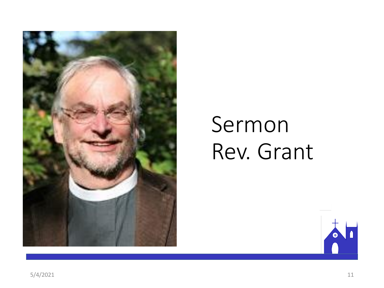

# Sermon Rev. Grant

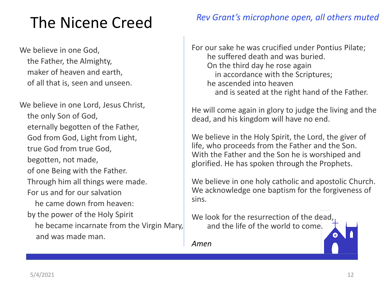# The Nicene Creed

We believe in one God, the Father, the Almighty, maker of heaven and earth, of all that is, seen and unseen.

We believe in one Lord, Jesus Christ, the only Son of God, eternally begotten of the Father, God from God, Light from Light, true God from true God, begotten, not made, of one Being with the Father. Through him all things were made. For us and for our salvation he came down from heaven: by the power of the Holy Spirit he became incarnate from the Virgin Mary, and was made man.

#### *Rev Grant's microphone open, all others muted*

For our sake he was crucified under Pontius Pilate; he suffered death and was buried. On the third day he rose again in accordance with the Scriptures; he ascended into heaven and is seated at the right hand of the Father.

He will come again in glory to judge the living and the dead, and his kingdom will have no end.

We believe in the Holy Spirit, the Lord, the giver of life, who proceeds from the Father and the Son. With the Father and the Son he is worshiped and glorified. He has spoken through the Prophets.

We believe in one holy catholic and apostolic Church. We acknowledge one baptism for the forgiveness of sins.

We look for the resurrection of the dead, and the life of the world to come.

*Amen*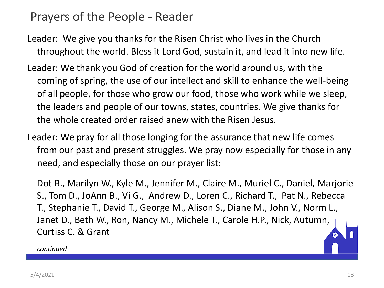### Prayers of the People - Reader

- Leader: We give you thanks for the Risen Christ who lives in the Church throughout the world. Bless it Lord God, sustain it, and lead it into new life.
- Leader: We thank you God of creation for the world around us, with the coming of spring, the use of our intellect and skill to enhance the well-being of all people, for those who grow our food, those who work while we sleep, the leaders and people of our towns, states, countries. We give thanks for the whole created order raised anew with the Risen Jesus.
- Leader: We pray for all those longing for the assurance that new life comes from our past and present struggles. We pray now especially for those in any need, and especially those on our prayer list:

Dot B., Marilyn W., Kyle M., Jennifer M., Claire M., Muriel C., Daniel, Marjorie S., Tom D., JoAnn B., Vi G., Andrew D., Loren C., Richard T., Pat N., Rebecca T., Stephanie T., David T., George M., Alison S., Diane M., John V., Norm L., Janet D., Beth W., Ron, Nancy M., Michele T., Carole H.P., Nick, Autumn, 4 Curtiss C. & Grant

*continued*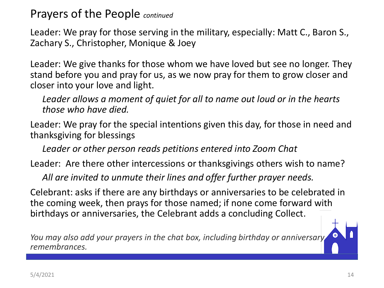Prayers of the People *continued*

Leader: We pray for those serving in the military, especially: Matt C., Baron S., Zachary S., Christopher, Monique & Joey

Leader: We give thanks for those whom we have loved but see no longer. They stand before you and pray for us, as we now pray for them to grow closer and closer into your love and light.

*Leader allows a moment of quiet for all to name out loud or in the hearts those who have died.*

Leader: We pray for the special intentions given this day, for those in need and thanksgiving for blessings

*Leader or other person reads petitions entered into Zoom Chat*

Leader: Are there other intercessions or thanksgivings others wish to name?

*All are invited to unmute their lines and offer further prayer needs.*

Celebrant: asks if there are any birthdays or anniversaries to be celebrated in the coming week, then prays for those named; if none come forward with birthdays or anniversaries, the Celebrant adds a concluding Collect.

*You may also add your prayers in the chat box, including birthday or anniversary remembrances.*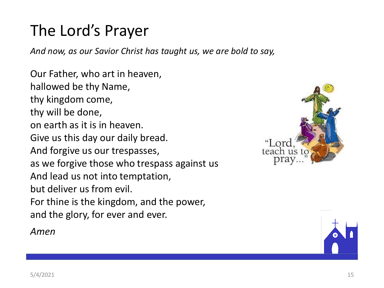# The Lord's Prayer

*And now, as our Savior Christ has taught us, we are bold to say,*

Our Father, who art in heaven, hallowed be thy Name, thy kingdom come, thy will be done, on earth as it is in heaven. Give us this day our daily bread. And forgive us our trespasses, as we forgive those who trespass against us And lead us not into temptation, but deliver us from evil. For thine is the kingdom, and the power, and the glory, for ever and ever.

*Amen*



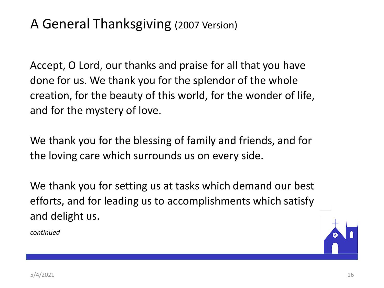## A General Thanksgiving (2007 Version)

Accept, O Lord, our thanks and praise for all that you have done for us. We thank you for the splendor of the whole creation, for the beauty of this world, for the wonder of life, and for the mystery of love.

We thank you for the blessing of family and friends, and for the loving care which surrounds us on every side.

We thank you for setting us at tasks which demand our best efforts, and for leading us to accomplishments which satisfy and delight us.



*continued*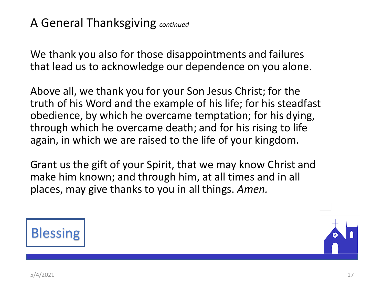### A General Thanksgiving *continued*

We thank you also for those disappointments and failures that lead us to acknowledge our dependence on you alone.

Above all, we thank you for your Son Jesus Christ; for the truth of his Word and the example of his life; for his steadfast obedience, by which he overcame temptation; for his dying, through which he overcame death; and for his rising to life again, in which we are raised to the life of your kingdom.

Grant us the gift of your Spirit, that we may know Christ and make him known; and through him, at all times and in all places, may give thanks to you in all things. *Amen.*